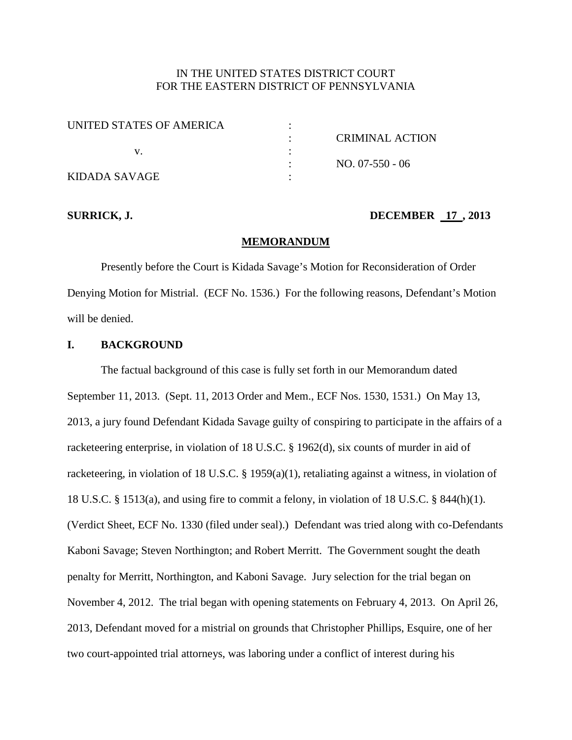# IN THE UNITED STATES DISTRICT COURT FOR THE EASTERN DISTRICT OF PENNSYLVANIA

| UNITED STATES OF AMERICA |                 |
|--------------------------|-----------------|
|                          | CRIMINAL ACTION |
|                          |                 |
|                          | $NO. 07-550-06$ |
| KIDADA SAVAGE            |                 |

## **SURRICK, J. DECEMBER 17, 2013**

#### **MEMORANDUM**

Presently before the Court is Kidada Savage's Motion for Reconsideration of Order Denying Motion for Mistrial. (ECF No. 1536.) For the following reasons, Defendant's Motion will be denied.

## **I. BACKGROUND**

The factual background of this case is fully set forth in our Memorandum dated September 11, 2013. (Sept. 11, 2013 Order and Mem., ECF Nos. 1530, 1531.) On May 13, 2013, a jury found Defendant Kidada Savage guilty of conspiring to participate in the affairs of a racketeering enterprise, in violation of 18 U.S.C. § 1962(d), six counts of murder in aid of racketeering, in violation of 18 U.S.C. § 1959(a)(1), retaliating against a witness, in violation of 18 U.S.C. § 1513(a), and using fire to commit a felony, in violation of 18 U.S.C. § 844(h)(1). (Verdict Sheet, ECF No. 1330 (filed under seal).) Defendant was tried along with co-Defendants Kaboni Savage; Steven Northington; and Robert Merritt. The Government sought the death penalty for Merritt, Northington, and Kaboni Savage. Jury selection for the trial began on November 4, 2012. The trial began with opening statements on February 4, 2013. On April 26, 2013, Defendant moved for a mistrial on grounds that Christopher Phillips, Esquire, one of her two court-appointed trial attorneys, was laboring under a conflict of interest during his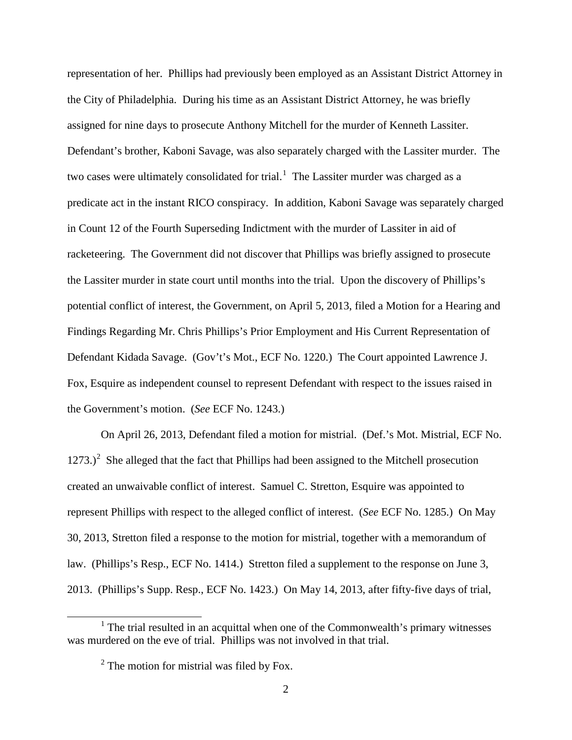representation of her. Phillips had previously been employed as an Assistant District Attorney in the City of Philadelphia. During his time as an Assistant District Attorney, he was briefly assigned for nine days to prosecute Anthony Mitchell for the murder of Kenneth Lassiter. Defendant's brother, Kaboni Savage, was also separately charged with the Lassiter murder. The two cases were ultimately consolidated for trial.<sup>[1](#page-1-0)</sup> The Lassiter murder was charged as a predicate act in the instant RICO conspiracy. In addition, Kaboni Savage was separately charged in Count 12 of the Fourth Superseding Indictment with the murder of Lassiter in aid of racketeering. The Government did not discover that Phillips was briefly assigned to prosecute the Lassiter murder in state court until months into the trial. Upon the discovery of Phillips's potential conflict of interest, the Government, on April 5, 2013, filed a Motion for a Hearing and Findings Regarding Mr. Chris Phillips's Prior Employment and His Current Representation of Defendant Kidada Savage. (Gov't's Mot., ECF No. 1220.) The Court appointed Lawrence J. Fox, Esquire as independent counsel to represent Defendant with respect to the issues raised in the Government's motion. (*See* ECF No. 1243.)

On April 26, 2013, Defendant filed a motion for mistrial. (Def.'s Mot. Mistrial, ECF No.  $1273$  $1273$  $1273$ .)<sup>2</sup> She alleged that the fact that Phillips had been assigned to the Mitchell prosecution created an unwaivable conflict of interest. Samuel C. Stretton, Esquire was appointed to represent Phillips with respect to the alleged conflict of interest. (*See* ECF No. 1285.) On May 30, 2013, Stretton filed a response to the motion for mistrial, together with a memorandum of law. (Phillips's Resp., ECF No. 1414.) Stretton filed a supplement to the response on June 3, 2013. (Phillips's Supp. Resp., ECF No. 1423.) On May 14, 2013, after fifty-five days of trial,

<span id="page-1-1"></span><span id="page-1-0"></span> $1$  The trial resulted in an acquittal when one of the Commonwealth's primary witnesses was murdered on the eve of trial. Phillips was not involved in that trial.

 $2^2$  The motion for mistrial was filed by Fox.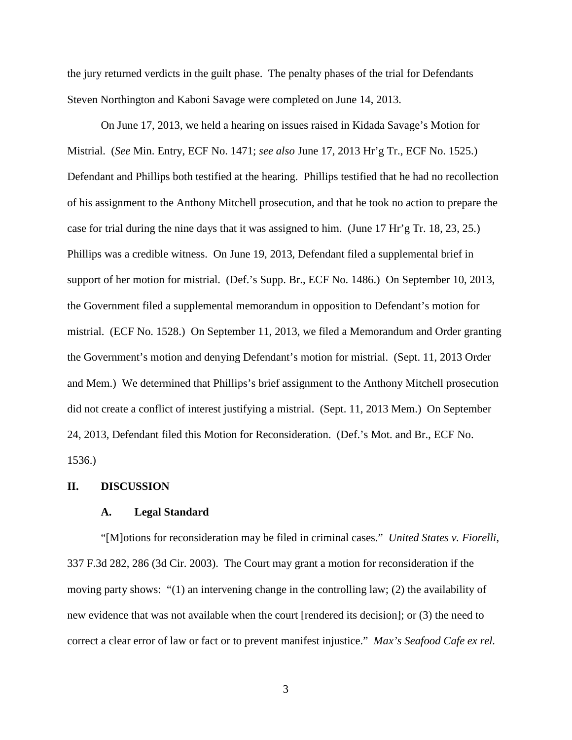the jury returned verdicts in the guilt phase. The penalty phases of the trial for Defendants Steven Northington and Kaboni Savage were completed on June 14, 2013.

On June 17, 2013, we held a hearing on issues raised in Kidada Savage's Motion for Mistrial. (*See* Min. Entry, ECF No. 1471; *see also* June 17, 2013 Hr'g Tr., ECF No. 1525.) Defendant and Phillips both testified at the hearing. Phillips testified that he had no recollection of his assignment to the Anthony Mitchell prosecution, and that he took no action to prepare the case for trial during the nine days that it was assigned to him. (June 17 Hr'g Tr. 18, 23, 25.) Phillips was a credible witness. On June 19, 2013, Defendant filed a supplemental brief in support of her motion for mistrial. (Def.'s Supp. Br., ECF No. 1486.) On September 10, 2013, the Government filed a supplemental memorandum in opposition to Defendant's motion for mistrial. (ECF No. 1528.) On September 11, 2013, we filed a Memorandum and Order granting the Government's motion and denying Defendant's motion for mistrial. (Sept. 11, 2013 Order and Mem.) We determined that Phillips's brief assignment to the Anthony Mitchell prosecution did not create a conflict of interest justifying a mistrial. (Sept. 11, 2013 Mem.) On September 24, 2013, Defendant filed this Motion for Reconsideration. (Def.'s Mot. and Br., ECF No. 1536.)

## **II. DISCUSSION**

#### **A. Legal Standard**

"[M]otions for reconsideration may be filed in criminal cases." *United States v. Fiorelli*, 337 F.3d 282, 286 (3d Cir. 2003). The Court may grant a motion for reconsideration if the moving party shows: "(1) an intervening change in the controlling law; (2) the availability of new evidence that was not available when the court [rendered its decision]; or (3) the need to correct a clear error of law or fact or to prevent manifest injustice." *Max's Seafood Cafe ex rel.*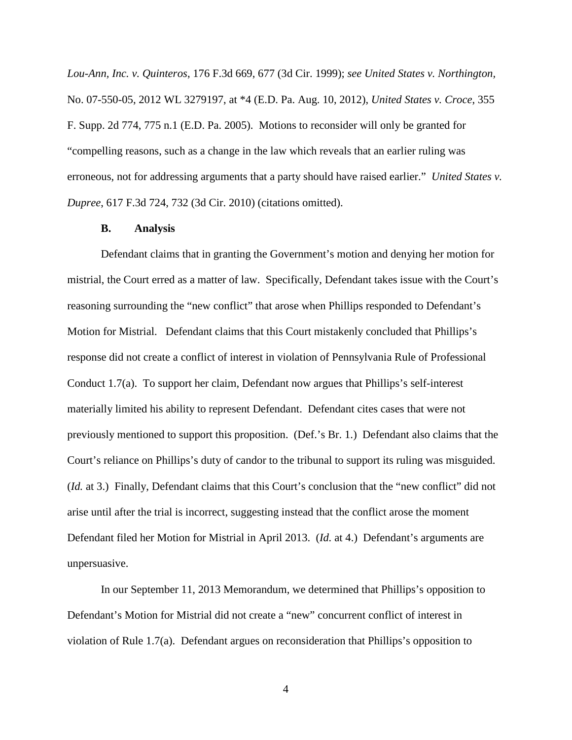*Lou-Ann, Inc. v. Quinteros*, 176 F.3d 669, 677 (3d Cir. 1999); *see United States v. Northington,*  No. 07-550-05, 2012 WL 3279197, at \*4 (E.D. Pa. Aug. 10, 2012), *United States v. Croce*, 355 F. Supp. 2d 774, 775 n.1 (E.D. Pa. 2005). Motions to reconsider will only be granted for "compelling reasons, such as a change in the law which reveals that an earlier ruling was erroneous, not for addressing arguments that a party should have raised earlier." *United States v. Dupree*, 617 F.3d 724, 732 (3d Cir. 2010) (citations omitted).

#### **B. Analysis**

Defendant claims that in granting the Government's motion and denying her motion for mistrial, the Court erred as a matter of law. Specifically, Defendant takes issue with the Court's reasoning surrounding the "new conflict" that arose when Phillips responded to Defendant's Motion for Mistrial. Defendant claims that this Court mistakenly concluded that Phillips's response did not create a conflict of interest in violation of Pennsylvania Rule of Professional Conduct 1.7(a). To support her claim, Defendant now argues that Phillips's self-interest materially limited his ability to represent Defendant. Defendant cites cases that were not previously mentioned to support this proposition. (Def.'s Br. 1.) Defendant also claims that the Court's reliance on Phillips's duty of candor to the tribunal to support its ruling was misguided. (*Id.* at 3.) Finally, Defendant claims that this Court's conclusion that the "new conflict" did not arise until after the trial is incorrect, suggesting instead that the conflict arose the moment Defendant filed her Motion for Mistrial in April 2013. (*Id.* at 4.) Defendant's arguments are unpersuasive.

In our September 11, 2013 Memorandum, we determined that Phillips's opposition to Defendant's Motion for Mistrial did not create a "new" concurrent conflict of interest in violation of Rule 1.7(a). Defendant argues on reconsideration that Phillips's opposition to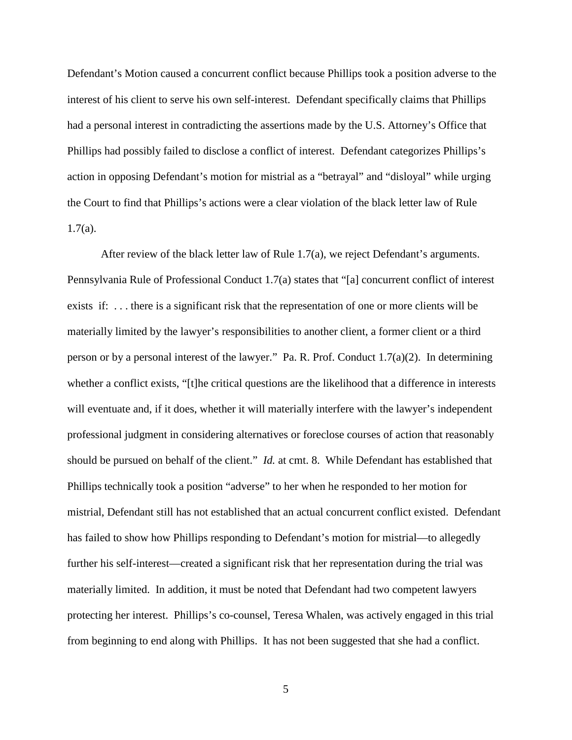Defendant's Motion caused a concurrent conflict because Phillips took a position adverse to the interest of his client to serve his own self-interest. Defendant specifically claims that Phillips had a personal interest in contradicting the assertions made by the U.S. Attorney's Office that Phillips had possibly failed to disclose a conflict of interest. Defendant categorizes Phillips's action in opposing Defendant's motion for mistrial as a "betrayal" and "disloyal" while urging the Court to find that Phillips's actions were a clear violation of the black letter law of Rule  $1.7(a)$ .

After review of the black letter law of Rule 1.7(a), we reject Defendant's arguments. Pennsylvania Rule of Professional Conduct 1.7(a) states that "[a] concurrent conflict of interest exists if: . . . there is a significant risk that the representation of one or more clients will be materially limited by the lawyer's responsibilities to another client, a former client or a third person or by a personal interest of the lawyer." Pa. R. Prof. Conduct 1.7(a)(2). In determining whether a conflict exists, "[t]he critical questions are the likelihood that a difference in interests will eventuate and, if it does, whether it will materially interfere with the lawyer's independent professional judgment in considering alternatives or foreclose courses of action that reasonably should be pursued on behalf of the client." *Id.* at cmt. 8. While Defendant has established that Phillips technically took a position "adverse" to her when he responded to her motion for mistrial, Defendant still has not established that an actual concurrent conflict existed. Defendant has failed to show how Phillips responding to Defendant's motion for mistrial—to allegedly further his self-interest—created a significant risk that her representation during the trial was materially limited. In addition, it must be noted that Defendant had two competent lawyers protecting her interest. Phillips's co-counsel, Teresa Whalen, was actively engaged in this trial from beginning to end along with Phillips. It has not been suggested that she had a conflict.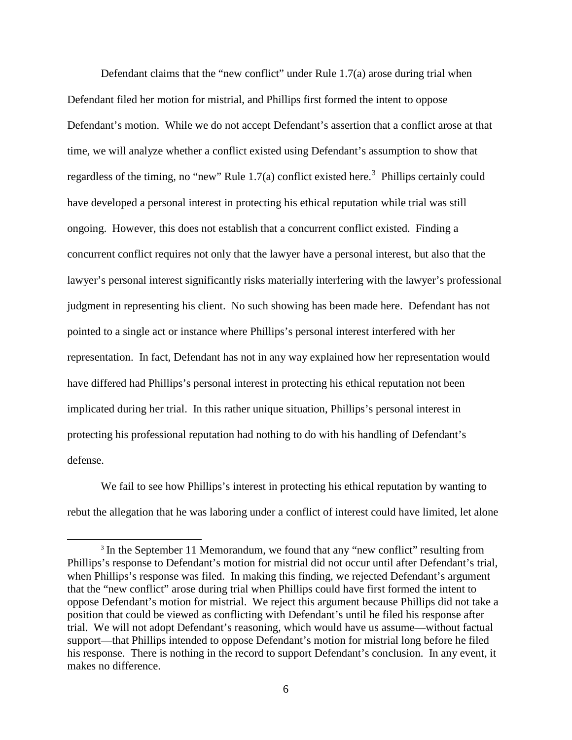Defendant claims that the "new conflict" under Rule 1.7(a) arose during trial when Defendant filed her motion for mistrial, and Phillips first formed the intent to oppose Defendant's motion. While we do not accept Defendant's assertion that a conflict arose at that time, we will analyze whether a conflict existed using Defendant's assumption to show that regardless of the timing, no "new" Rule  $1.7(a)$  conflict existed here.<sup>[3](#page-5-0)</sup> Phillips certainly could have developed a personal interest in protecting his ethical reputation while trial was still ongoing. However, this does not establish that a concurrent conflict existed. Finding a concurrent conflict requires not only that the lawyer have a personal interest, but also that the lawyer's personal interest significantly risks materially interfering with the lawyer's professional judgment in representing his client. No such showing has been made here. Defendant has not pointed to a single act or instance where Phillips's personal interest interfered with her representation. In fact, Defendant has not in any way explained how her representation would have differed had Phillips's personal interest in protecting his ethical reputation not been implicated during her trial. In this rather unique situation, Phillips's personal interest in protecting his professional reputation had nothing to do with his handling of Defendant's defense.

We fail to see how Phillips's interest in protecting his ethical reputation by wanting to rebut the allegation that he was laboring under a conflict of interest could have limited, let alone

<span id="page-5-0"></span><sup>&</sup>lt;sup>3</sup> In the September 11 Memorandum, we found that any "new conflict" resulting from Phillips's response to Defendant's motion for mistrial did not occur until after Defendant's trial, when Phillips's response was filed. In making this finding, we rejected Defendant's argument that the "new conflict" arose during trial when Phillips could have first formed the intent to oppose Defendant's motion for mistrial. We reject this argument because Phillips did not take a position that could be viewed as conflicting with Defendant's until he filed his response after trial. We will not adopt Defendant's reasoning, which would have us assume—without factual support—that Phillips intended to oppose Defendant's motion for mistrial long before he filed his response. There is nothing in the record to support Defendant's conclusion. In any event, it makes no difference.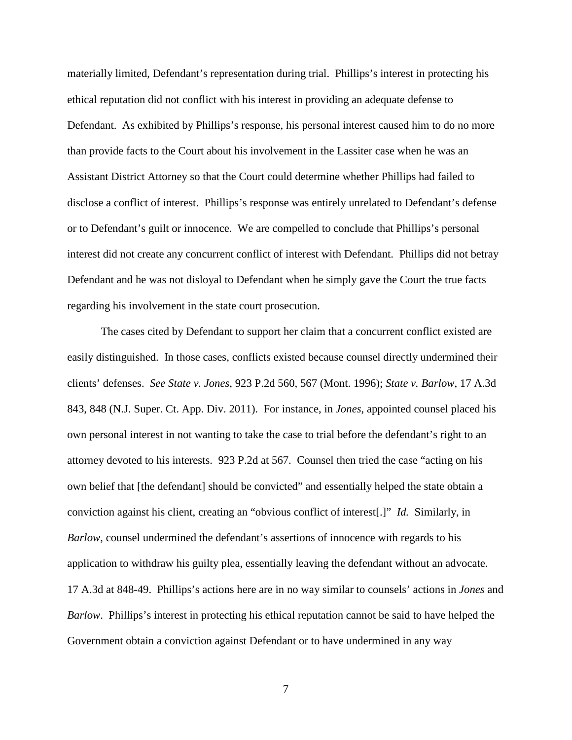materially limited, Defendant's representation during trial. Phillips's interest in protecting his ethical reputation did not conflict with his interest in providing an adequate defense to Defendant. As exhibited by Phillips's response, his personal interest caused him to do no more than provide facts to the Court about his involvement in the Lassiter case when he was an Assistant District Attorney so that the Court could determine whether Phillips had failed to disclose a conflict of interest. Phillips's response was entirely unrelated to Defendant's defense or to Defendant's guilt or innocence. We are compelled to conclude that Phillips's personal interest did not create any concurrent conflict of interest with Defendant. Phillips did not betray Defendant and he was not disloyal to Defendant when he simply gave the Court the true facts regarding his involvement in the state court prosecution.

The cases cited by Defendant to support her claim that a concurrent conflict existed are easily distinguished. In those cases, conflicts existed because counsel directly undermined their clients' defenses. *See State v. Jones*, 923 P.2d 560, 567 (Mont. 1996); *State v. Barlow*, 17 A.3d 843, 848 (N.J. Super. Ct. App. Div. 2011). For instance, in *Jones*, appointed counsel placed his own personal interest in not wanting to take the case to trial before the defendant's right to an attorney devoted to his interests. 923 P.2d at 567. Counsel then tried the case "acting on his own belief that [the defendant] should be convicted" and essentially helped the state obtain a conviction against his client, creating an "obvious conflict of interest[.]" *Id.* Similarly, in *Barlow*, counsel undermined the defendant's assertions of innocence with regards to his application to withdraw his guilty plea, essentially leaving the defendant without an advocate. 17 A.3d at 848-49. Phillips's actions here are in no way similar to counsels' actions in *Jones* and *Barlow*. Phillips's interest in protecting his ethical reputation cannot be said to have helped the Government obtain a conviction against Defendant or to have undermined in any way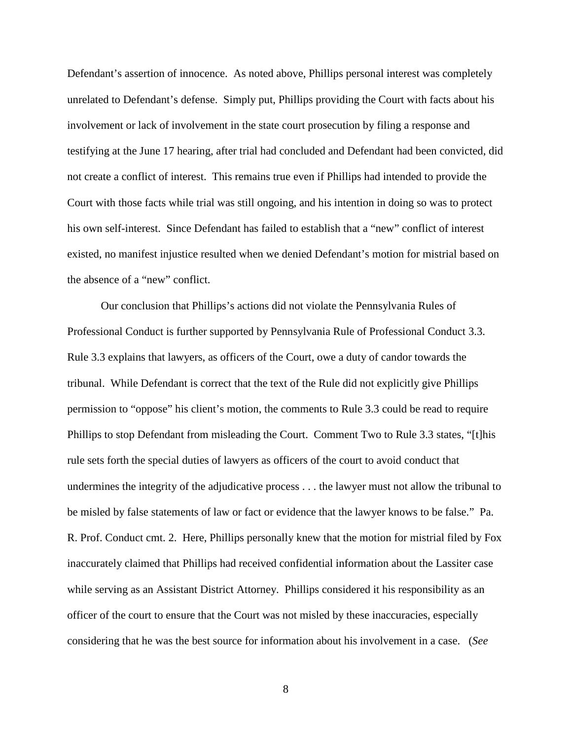Defendant's assertion of innocence. As noted above, Phillips personal interest was completely unrelated to Defendant's defense. Simply put, Phillips providing the Court with facts about his involvement or lack of involvement in the state court prosecution by filing a response and testifying at the June 17 hearing, after trial had concluded and Defendant had been convicted, did not create a conflict of interest. This remains true even if Phillips had intended to provide the Court with those facts while trial was still ongoing, and his intention in doing so was to protect his own self-interest. Since Defendant has failed to establish that a "new" conflict of interest existed, no manifest injustice resulted when we denied Defendant's motion for mistrial based on the absence of a "new" conflict.

Our conclusion that Phillips's actions did not violate the Pennsylvania Rules of Professional Conduct is further supported by Pennsylvania Rule of Professional Conduct 3.3. Rule 3.3 explains that lawyers, as officers of the Court, owe a duty of candor towards the tribunal. While Defendant is correct that the text of the Rule did not explicitly give Phillips permission to "oppose" his client's motion, the comments to Rule 3.3 could be read to require Phillips to stop Defendant from misleading the Court. Comment Two to Rule 3.3 states, "[t]his rule sets forth the special duties of lawyers as officers of the court to avoid conduct that undermines the integrity of the adjudicative process . . . the lawyer must not allow the tribunal to be misled by false statements of law or fact or evidence that the lawyer knows to be false." Pa. R. Prof. Conduct cmt. 2. Here, Phillips personally knew that the motion for mistrial filed by Fox inaccurately claimed that Phillips had received confidential information about the Lassiter case while serving as an Assistant District Attorney. Phillips considered it his responsibility as an officer of the court to ensure that the Court was not misled by these inaccuracies, especially considering that he was the best source for information about his involvement in a case. (*See*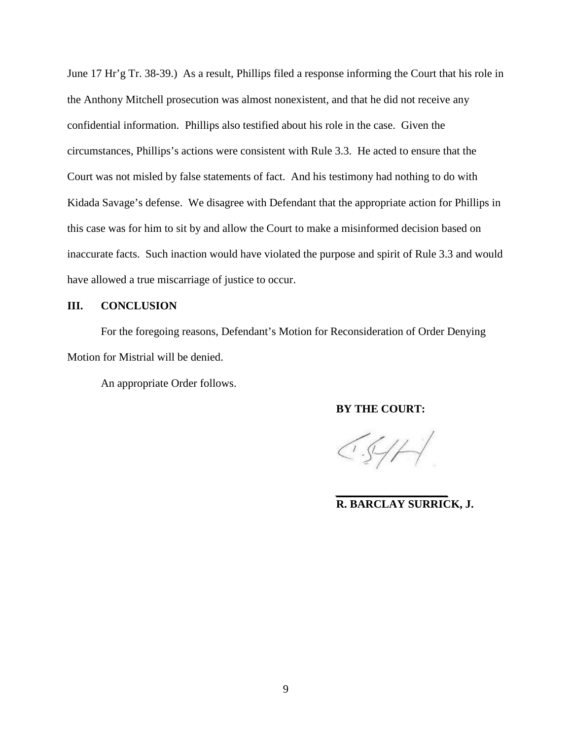June 17 Hr'g Tr. 38-39.) As a result, Phillips filed a response informing the Court that his role in the Anthony Mitchell prosecution was almost nonexistent, and that he did not receive any confidential information. Phillips also testified about his role in the case. Given the circumstances, Phillips's actions were consistent with Rule 3.3. He acted to ensure that the Court was not misled by false statements of fact. And his testimony had nothing to do with Kidada Savage's defense. We disagree with Defendant that the appropriate action for Phillips in this case was for him to sit by and allow the Court to make a misinformed decision based on inaccurate facts. Such inaction would have violated the purpose and spirit of Rule 3.3 and would have allowed a true miscarriage of justice to occur.

## **III. CONCLUSION**

For the foregoing reasons, Defendant's Motion for Reconsideration of Order Denying Motion for Mistrial will be denied.

An appropriate Order follows.

### **BY THE COURT:**

 $CS/H$ 

*\_\_\_\_\_\_\_\_\_\_\_\_\_\_\_\_\_\_\_\_*

**R. BARCLAY SURRICK, J.**